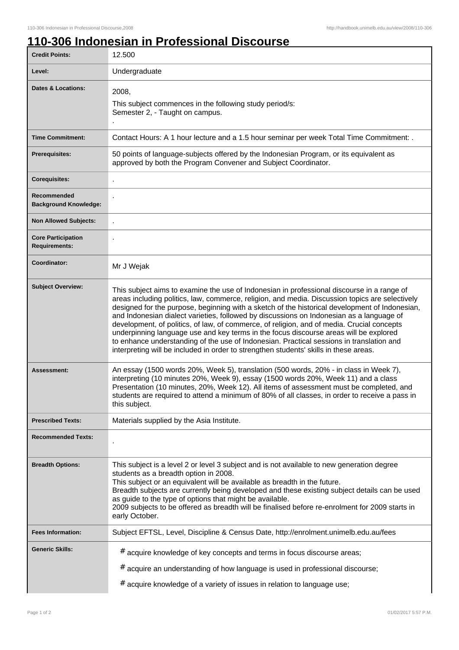## **110-306 Indonesian in Professional Discourse**

| <b>Credit Points:</b>                             | 12.500                                                                                                                                                                                                                                                                                                                                                                                                                                                                                                                                                                                                                                                                                                                                                                  |
|---------------------------------------------------|-------------------------------------------------------------------------------------------------------------------------------------------------------------------------------------------------------------------------------------------------------------------------------------------------------------------------------------------------------------------------------------------------------------------------------------------------------------------------------------------------------------------------------------------------------------------------------------------------------------------------------------------------------------------------------------------------------------------------------------------------------------------------|
| Level:                                            | Undergraduate                                                                                                                                                                                                                                                                                                                                                                                                                                                                                                                                                                                                                                                                                                                                                           |
| <b>Dates &amp; Locations:</b>                     | 2008,<br>This subject commences in the following study period/s:<br>Semester 2, - Taught on campus.                                                                                                                                                                                                                                                                                                                                                                                                                                                                                                                                                                                                                                                                     |
| <b>Time Commitment:</b>                           | Contact Hours: A 1 hour lecture and a 1.5 hour seminar per week Total Time Commitment: .                                                                                                                                                                                                                                                                                                                                                                                                                                                                                                                                                                                                                                                                                |
| <b>Prerequisites:</b>                             | 50 points of language-subjects offered by the Indonesian Program, or its equivalent as<br>approved by both the Program Convener and Subject Coordinator.                                                                                                                                                                                                                                                                                                                                                                                                                                                                                                                                                                                                                |
| <b>Corequisites:</b>                              |                                                                                                                                                                                                                                                                                                                                                                                                                                                                                                                                                                                                                                                                                                                                                                         |
| Recommended<br><b>Background Knowledge:</b>       |                                                                                                                                                                                                                                                                                                                                                                                                                                                                                                                                                                                                                                                                                                                                                                         |
| <b>Non Allowed Subjects:</b>                      |                                                                                                                                                                                                                                                                                                                                                                                                                                                                                                                                                                                                                                                                                                                                                                         |
| <b>Core Participation</b><br><b>Requirements:</b> |                                                                                                                                                                                                                                                                                                                                                                                                                                                                                                                                                                                                                                                                                                                                                                         |
| Coordinator:                                      | Mr J Wejak                                                                                                                                                                                                                                                                                                                                                                                                                                                                                                                                                                                                                                                                                                                                                              |
| <b>Subject Overview:</b>                          | This subject aims to examine the use of Indonesian in professional discourse in a range of<br>areas including politics, law, commerce, religion, and media. Discussion topics are selectively<br>designed for the purpose, beginning with a sketch of the historical development of Indonesian,<br>and Indonesian dialect varieties, followed by discussions on Indonesian as a language of<br>development, of politics, of law, of commerce, of religion, and of media. Crucial concepts<br>underpinning language use and key terms in the focus discourse areas will be explored<br>to enhance understanding of the use of Indonesian. Practical sessions in translation and<br>interpreting will be included in order to strengthen students' skills in these areas. |
| <b>Assessment:</b>                                | An essay (1500 words 20%, Week 5), translation (500 words, 20% - in class in Week 7),<br>interpreting (10 minutes 20%, Week 9), essay (1500 words 20%, Week 11) and a class<br>Presentation (10 minutes, 20%, Week 12). All items of assessment must be completed, and<br>students are required to attend a minimum of 80% of all classes, in order to receive a pass in<br>this subject.                                                                                                                                                                                                                                                                                                                                                                               |
| <b>Prescribed Texts:</b>                          | Materials supplied by the Asia Institute.                                                                                                                                                                                                                                                                                                                                                                                                                                                                                                                                                                                                                                                                                                                               |
| <b>Recommended Texts:</b>                         |                                                                                                                                                                                                                                                                                                                                                                                                                                                                                                                                                                                                                                                                                                                                                                         |
| <b>Breadth Options:</b>                           | This subject is a level 2 or level 3 subject and is not available to new generation degree<br>students as a breadth option in 2008.<br>This subject or an equivalent will be available as breadth in the future.<br>Breadth subjects are currently being developed and these existing subject details can be used<br>as guide to the type of options that might be available.<br>2009 subjects to be offered as breadth will be finalised before re-enrolment for 2009 starts in<br>early October.                                                                                                                                                                                                                                                                      |
| <b>Fees Information:</b>                          | Subject EFTSL, Level, Discipline & Census Date, http://enrolment.unimelb.edu.au/fees                                                                                                                                                                                                                                                                                                                                                                                                                                                                                                                                                                                                                                                                                    |
| <b>Generic Skills:</b>                            | # acquire knowledge of key concepts and terms in focus discourse areas;                                                                                                                                                                                                                                                                                                                                                                                                                                                                                                                                                                                                                                                                                                 |
|                                                   | #<br>acquire an understanding of how language is used in professional discourse;                                                                                                                                                                                                                                                                                                                                                                                                                                                                                                                                                                                                                                                                                        |
|                                                   | # acquire knowledge of a variety of issues in relation to language use;                                                                                                                                                                                                                                                                                                                                                                                                                                                                                                                                                                                                                                                                                                 |